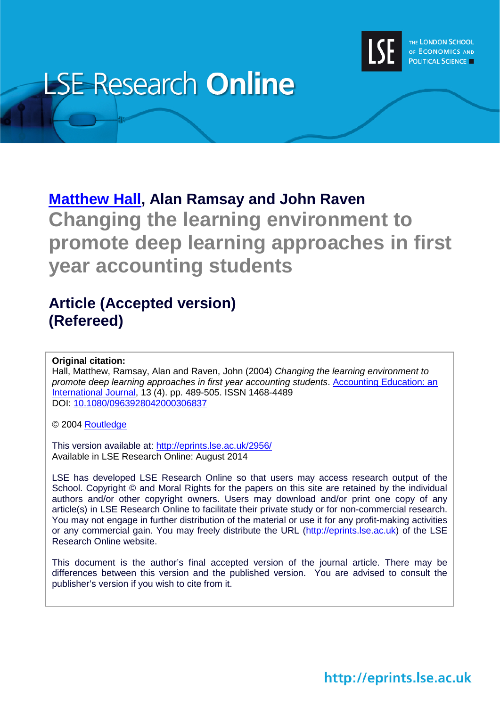

# **LSE Research Online**

## **[Matthew Hall,](http://www.lse.ac.uk/researchAndExpertise/Experts/profile.aspx?KeyValue=m.r.hall@lse.ac.uk) Alan Ramsay and John Raven Changing the learning environment to promote deep learning approaches in first year accounting students**

### **Article (Accepted version) (Refereed)**

#### **Original citation:**

Hall, Matthew, Ramsay, Alan and Raven, John (2004) *Changing the learning environment to promote deep learning approaches in first year accounting students*. [Accounting Education: an](http://www.tandfonline.com/loi/raed20)  [International Journal,](http://www.tandfonline.com/loi/raed20) 13 (4). pp. 489-505. ISSN 1468-4489 DOI: [10.1080/0963928042000306837](http://dx.doi.org/10.1080/0963928042000306837)

© 2004 [Routledge](http://www.tandfonline.com/)

This version available at:<http://eprints.lse.ac.uk/2956/> Available in LSE Research Online: August 2014

LSE has developed LSE Research Online so that users may access research output of the School. Copyright © and Moral Rights for the papers on this site are retained by the individual authors and/or other copyright owners. Users may download and/or print one copy of any article(s) in LSE Research Online to facilitate their private study or for non-commercial research. You may not engage in further distribution of the material or use it for any profit-making activities or any commercial gain. You may freely distribute the URL (http://eprints.lse.ac.uk) of the LSE Research Online website.

This document is the author's final accepted version of the journal article. There may be differences between this version and the published version. You are advised to consult the publisher's version if you wish to cite from it.

http://eprints.lse.ac.uk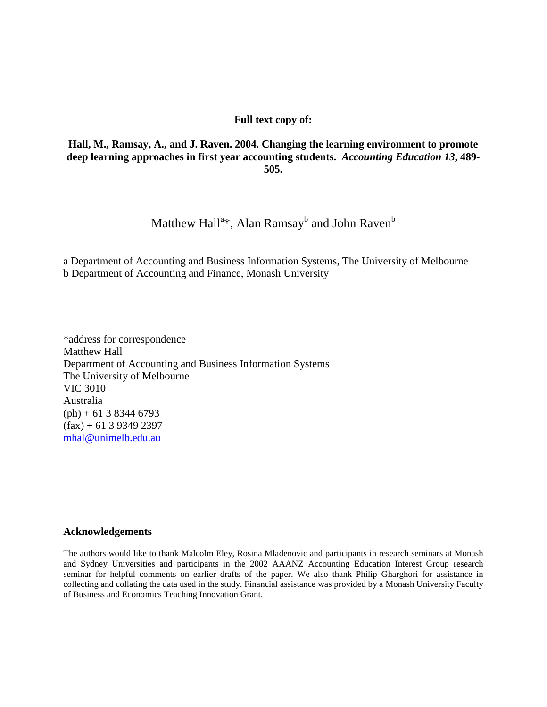#### **Full text copy of:**

#### **Hall, M., Ramsay, A., and J. Raven. 2004. Changing the learning environment to promote deep learning approaches in first year accounting students.** *Accounting Education 13***, 489- 505.**

#### Matthew Hall $^{\mathrm{a}\ast},$  Alan Ramsay $^{\mathrm{b}}$  and John Raven $^{\mathrm{b}}$

a Department of Accounting and Business Information Systems, The University of Melbourne b Department of Accounting and Finance, Monash University

\*address for correspondence Matthew Hall Department of Accounting and Business Information Systems The University of Melbourne VIC 3010 Australia  $(\text{ph}) + 61383446793$  $(fax) + 61$  3 9349 2397 [mhal@unimelb.edu.au](mailto:mhal@unimelb.edu.au)

#### **Acknowledgements**

The authors would like to thank Malcolm Eley, Rosina Mladenovic and participants in research seminars at Monash and Sydney Universities and participants in the 2002 AAANZ Accounting Education Interest Group research seminar for helpful comments on earlier drafts of the paper. We also thank Philip Gharghori for assistance in collecting and collating the data used in the study. Financial assistance was provided by a Monash University Faculty of Business and Economics Teaching Innovation Grant.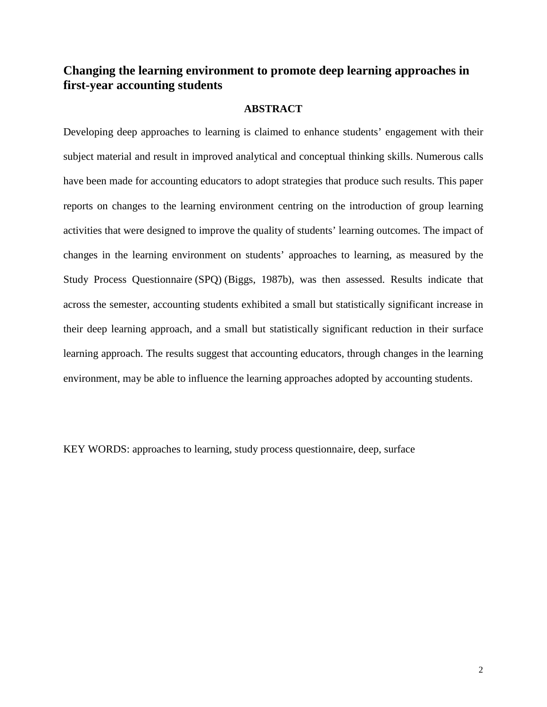#### **Changing the learning environment to promote deep learning approaches in first-year accounting students**

#### **ABSTRACT**

Developing deep approaches to learning is claimed to enhance students' engagement with their subject material and result in improved analytical and conceptual thinking skills. Numerous calls have been made for accounting educators to adopt strategies that produce such results. This paper reports on changes to the learning environment centring on the introduction of group learning activities that were designed to improve the quality of students' learning outcomes. The impact of changes in the learning environment on students' approaches to learning, as measured by the Study Process Questionnaire (SPQ) (Biggs, 1987b), was then assessed. Results indicate that across the semester, accounting students exhibited a small but statistically significant increase in their deep learning approach, and a small but statistically significant reduction in their surface learning approach. The results suggest that accounting educators, through changes in the learning environment, may be able to influence the learning approaches adopted by accounting students.

KEY WORDS: approaches to learning, study process questionnaire, deep, surface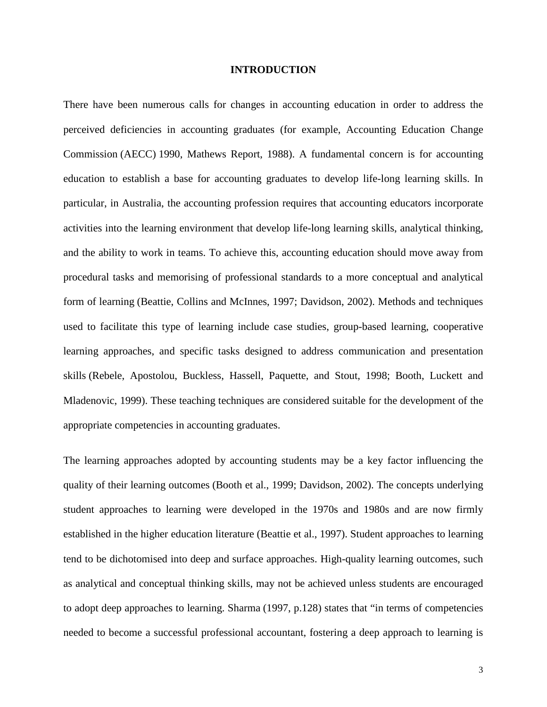#### **INTRODUCTION**

There have been numerous calls for changes in accounting education in order to address the perceived deficiencies in accounting graduates (for example, Accounting Education Change Commission (AECC) 1990, Mathews Report, 1988). A fundamental concern is for accounting education to establish a base for accounting graduates to develop life-long learning skills. In particular, in Australia, the accounting profession requires that accounting educators incorporate activities into the learning environment that develop life-long learning skills, analytical thinking, and the ability to work in teams. To achieve this, accounting education should move away from procedural tasks and memorising of professional standards to a more conceptual and analytical form of learning (Beattie, Collins and McInnes, 1997; Davidson, 2002). Methods and techniques used to facilitate this type of learning include case studies, group-based learning, cooperative learning approaches, and specific tasks designed to address communication and presentation skills (Rebele, Apostolou, Buckless, Hassell, Paquette, and Stout, 1998; Booth, Luckett and Mladenovic, 1999). These teaching techniques are considered suitable for the development of the appropriate competencies in accounting graduates.

The learning approaches adopted by accounting students may be a key factor influencing the quality of their learning outcomes (Booth et al., 1999; Davidson, 2002). The concepts underlying student approaches to learning were developed in the 1970s and 1980s and are now firmly established in the higher education literature (Beattie et al., 1997). Student approaches to learning tend to be dichotomised into deep and surface approaches. High-quality learning outcomes, such as analytical and conceptual thinking skills, may not be achieved unless students are encouraged to adopt deep approaches to learning. Sharma (1997, p.128) states that "in terms of competencies needed to become a successful professional accountant, fostering a deep approach to learning is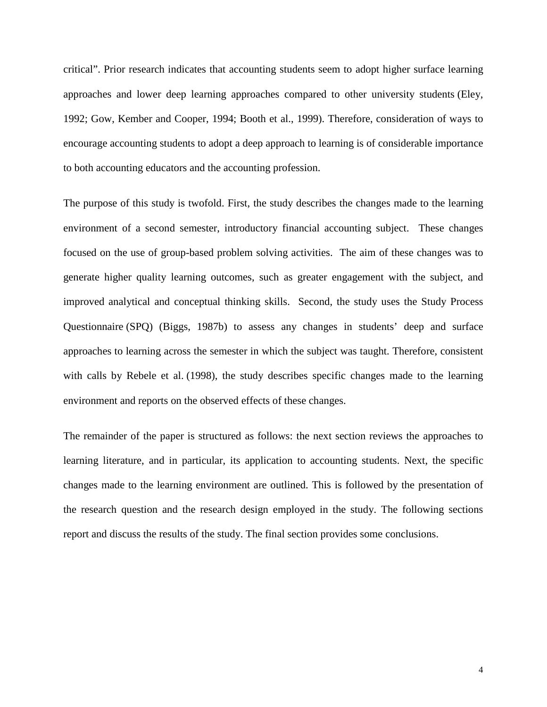critical". Prior research indicates that accounting students seem to adopt higher surface learning approaches and lower deep learning approaches compared to other university students (Eley, 1992; Gow, Kember and Cooper, 1994; Booth et al., 1999). Therefore, consideration of ways to encourage accounting students to adopt a deep approach to learning is of considerable importance to both accounting educators and the accounting profession.

The purpose of this study is twofold. First, the study describes the changes made to the learning environment of a second semester, introductory financial accounting subject. These changes focused on the use of group-based problem solving activities. The aim of these changes was to generate higher quality learning outcomes, such as greater engagement with the subject, and improved analytical and conceptual thinking skills. Second, the study uses the Study Process Questionnaire (SPQ) (Biggs, 1987b) to assess any changes in students' deep and surface approaches to learning across the semester in which the subject was taught. Therefore, consistent with calls by Rebele et al. (1998), the study describes specific changes made to the learning environment and reports on the observed effects of these changes.

The remainder of the paper is structured as follows: the next section reviews the approaches to learning literature, and in particular, its application to accounting students. Next, the specific changes made to the learning environment are outlined. This is followed by the presentation of the research question and the research design employed in the study. The following sections report and discuss the results of the study. The final section provides some conclusions.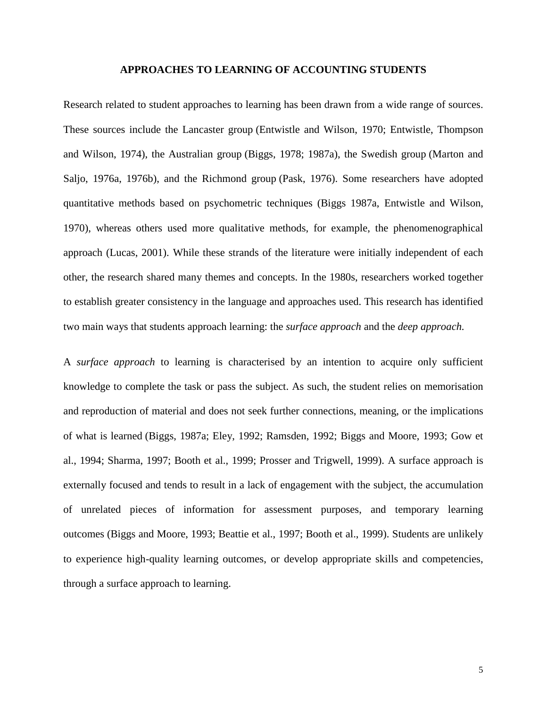#### **APPROACHES TO LEARNING OF ACCOUNTING STUDENTS**

Research related to student approaches to learning has been drawn from a wide range of sources. These sources include the Lancaster group (Entwistle and Wilson, 1970; Entwistle, Thompson and Wilson, 1974), the Australian group (Biggs, 1978; 1987a), the Swedish group (Marton and Saljo, 1976a, 1976b), and the Richmond group (Pask, 1976). Some researchers have adopted quantitative methods based on psychometric techniques (Biggs 1987a, Entwistle and Wilson, 1970), whereas others used more qualitative methods, for example, the phenomenographical approach (Lucas, 2001). While these strands of the literature were initially independent of each other, the research shared many themes and concepts. In the 1980s, researchers worked together to establish greater consistency in the language and approaches used. This research has identified two main ways that students approach learning: the *surface approach* and the *deep approach.* 

A *surface approach* to learning is characterised by an intention to acquire only sufficient knowledge to complete the task or pass the subject. As such, the student relies on memorisation and reproduction of material and does not seek further connections, meaning, or the implications of what is learned (Biggs, 1987a; Eley, 1992; Ramsden, 1992; Biggs and Moore, 1993; Gow et al., 1994; Sharma, 1997; Booth et al., 1999; Prosser and Trigwell, 1999). A surface approach is externally focused and tends to result in a lack of engagement with the subject, the accumulation of unrelated pieces of information for assessment purposes, and temporary learning outcomes (Biggs and Moore, 1993; Beattie et al., 1997; Booth et al., 1999). Students are unlikely to experience high-quality learning outcomes, or develop appropriate skills and competencies, through a surface approach to learning.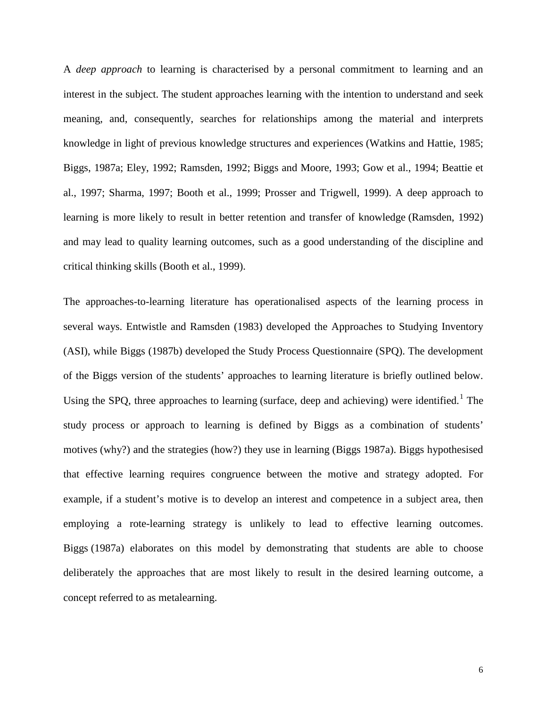A *deep approach* to learning is characterised by a personal commitment to learning and an interest in the subject. The student approaches learning with the intention to understand and seek meaning, and, consequently, searches for relationships among the material and interprets knowledge in light of previous knowledge structures and experiences (Watkins and Hattie, 1985; Biggs, 1987a; Eley, 1992; Ramsden, 1992; Biggs and Moore, 1993; Gow et al., 1994; Beattie et al., 1997; Sharma, 1997; Booth et al., 1999; Prosser and Trigwell, 1999). A deep approach to learning is more likely to result in better retention and transfer of knowledge (Ramsden, 1992) and may lead to quality learning outcomes, such as a good understanding of the discipline and critical thinking skills (Booth et al., 1999).

The approaches-to-learning literature has operationalised aspects of the learning process in several ways. Entwistle and Ramsden (1983) developed the Approaches to Studying Inventory (ASI), while Biggs (1987b) developed the Study Process Questionnaire (SPQ). The development of the Biggs version of the students' approaches to learning literature is briefly outlined below. Using the SPQ, three approaches to learning (surface, deep and achieving) were identified.<sup>[1](#page-34-0)</sup> The study process or approach to learning is defined by Biggs as a combination of students' motives (why?) and the strategies (how?) they use in learning (Biggs 1987a). Biggs hypothesised that effective learning requires congruence between the motive and strategy adopted. For example, if a student's motive is to develop an interest and competence in a subject area, then employing a rote-learning strategy is unlikely to lead to effective learning outcomes. Biggs (1987a) elaborates on this model by demonstrating that students are able to choose deliberately the approaches that are most likely to result in the desired learning outcome, a concept referred to as metalearning.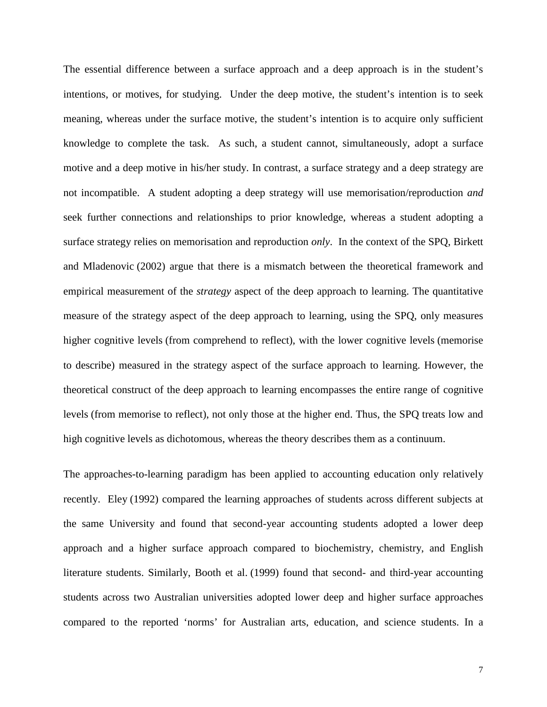The essential difference between a surface approach and a deep approach is in the student's intentions, or motives, for studying. Under the deep motive, the student's intention is to seek meaning, whereas under the surface motive, the student's intention is to acquire only sufficient knowledge to complete the task. As such, a student cannot, simultaneously, adopt a surface motive and a deep motive in his/her study. In contrast, a surface strategy and a deep strategy are not incompatible. A student adopting a deep strategy will use memorisation/reproduction *and* seek further connections and relationships to prior knowledge, whereas a student adopting a surface strategy relies on memorisation and reproduction *only*. In the context of the SPQ, Birkett and Mladenovic (2002) argue that there is a mismatch between the theoretical framework and empirical measurement of the *strategy* aspect of the deep approach to learning. The quantitative measure of the strategy aspect of the deep approach to learning, using the SPQ, only measures higher cognitive levels (from comprehend to reflect), with the lower cognitive levels (memorise to describe) measured in the strategy aspect of the surface approach to learning. However, the theoretical construct of the deep approach to learning encompasses the entire range of cognitive levels (from memorise to reflect), not only those at the higher end. Thus, the SPQ treats low and high cognitive levels as dichotomous, whereas the theory describes them as a continuum.

The approaches-to-learning paradigm has been applied to accounting education only relatively recently. Eley (1992) compared the learning approaches of students across different subjects at the same University and found that second-year accounting students adopted a lower deep approach and a higher surface approach compared to biochemistry, chemistry, and English literature students. Similarly, Booth et al. (1999) found that second- and third-year accounting students across two Australian universities adopted lower deep and higher surface approaches compared to the reported 'norms' for Australian arts, education, and science students. In a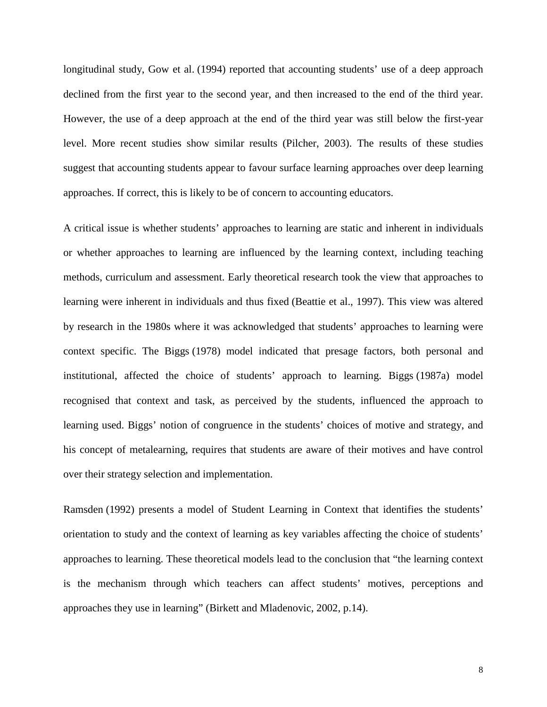longitudinal study, Gow et al. (1994) reported that accounting students' use of a deep approach declined from the first year to the second year, and then increased to the end of the third year. However, the use of a deep approach at the end of the third year was still below the first-year level. More recent studies show similar results (Pilcher, 2003). The results of these studies suggest that accounting students appear to favour surface learning approaches over deep learning approaches. If correct, this is likely to be of concern to accounting educators.

A critical issue is whether students' approaches to learning are static and inherent in individuals or whether approaches to learning are influenced by the learning context, including teaching methods, curriculum and assessment. Early theoretical research took the view that approaches to learning were inherent in individuals and thus fixed (Beattie et al., 1997). This view was altered by research in the 1980s where it was acknowledged that students' approaches to learning were context specific. The Biggs (1978) model indicated that presage factors, both personal and institutional, affected the choice of students' approach to learning. Biggs (1987a) model recognised that context and task, as perceived by the students, influenced the approach to learning used. Biggs' notion of congruence in the students' choices of motive and strategy, and his concept of metalearning, requires that students are aware of their motives and have control over their strategy selection and implementation.

Ramsden (1992) presents a model of Student Learning in Context that identifies the students' orientation to study and the context of learning as key variables affecting the choice of students' approaches to learning. These theoretical models lead to the conclusion that "the learning context is the mechanism through which teachers can affect students' motives, perceptions and approaches they use in learning" (Birkett and Mladenovic, 2002, p.14).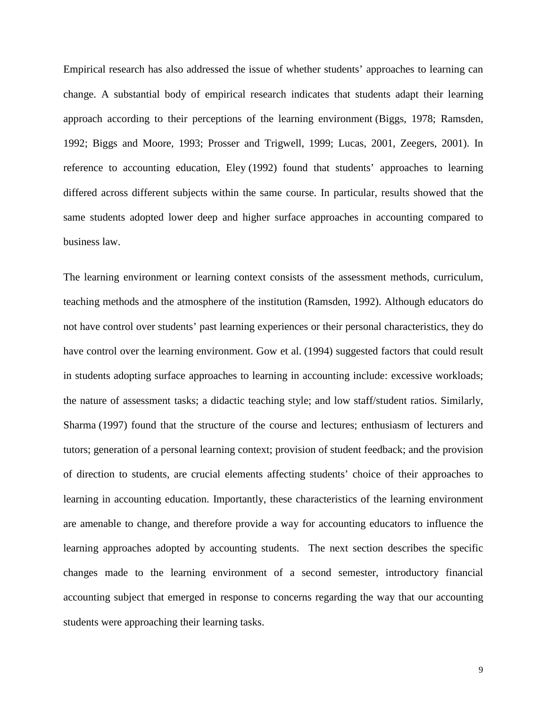Empirical research has also addressed the issue of whether students' approaches to learning can change. A substantial body of empirical research indicates that students adapt their learning approach according to their perceptions of the learning environment (Biggs, 1978; Ramsden, 1992; Biggs and Moore, 1993; Prosser and Trigwell, 1999; Lucas, 2001, Zeegers, 2001). In reference to accounting education, Eley (1992) found that students' approaches to learning differed across different subjects within the same course. In particular, results showed that the same students adopted lower deep and higher surface approaches in accounting compared to business law.

The learning environment or learning context consists of the assessment methods, curriculum, teaching methods and the atmosphere of the institution (Ramsden, 1992). Although educators do not have control over students' past learning experiences or their personal characteristics, they do have control over the learning environment. Gow et al. (1994) suggested factors that could result in students adopting surface approaches to learning in accounting include: excessive workloads; the nature of assessment tasks; a didactic teaching style; and low staff/student ratios. Similarly, Sharma (1997) found that the structure of the course and lectures; enthusiasm of lecturers and tutors; generation of a personal learning context; provision of student feedback; and the provision of direction to students, are crucial elements affecting students' choice of their approaches to learning in accounting education. Importantly, these characteristics of the learning environment are amenable to change, and therefore provide a way for accounting educators to influence the learning approaches adopted by accounting students. The next section describes the specific changes made to the learning environment of a second semester, introductory financial accounting subject that emerged in response to concerns regarding the way that our accounting students were approaching their learning tasks.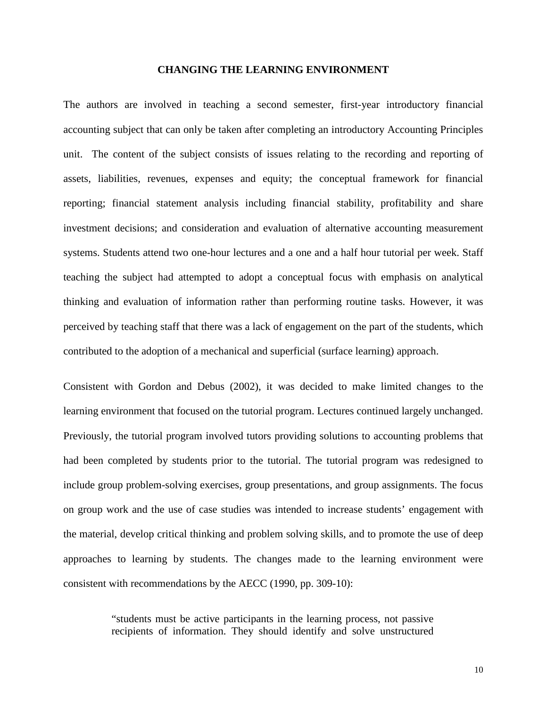#### **CHANGING THE LEARNING ENVIRONMENT**

The authors are involved in teaching a second semester, first-year introductory financial accounting subject that can only be taken after completing an introductory Accounting Principles unit. The content of the subject consists of issues relating to the recording and reporting of assets, liabilities, revenues, expenses and equity; the conceptual framework for financial reporting; financial statement analysis including financial stability, profitability and share investment decisions; and consideration and evaluation of alternative accounting measurement systems. Students attend two one-hour lectures and a one and a half hour tutorial per week. Staff teaching the subject had attempted to adopt a conceptual focus with emphasis on analytical thinking and evaluation of information rather than performing routine tasks. However, it was perceived by teaching staff that there was a lack of engagement on the part of the students, which contributed to the adoption of a mechanical and superficial (surface learning) approach.

Consistent with Gordon and Debus (2002), it was decided to make limited changes to the learning environment that focused on the tutorial program. Lectures continued largely unchanged. Previously, the tutorial program involved tutors providing solutions to accounting problems that had been completed by students prior to the tutorial. The tutorial program was redesigned to include group problem-solving exercises, group presentations, and group assignments. The focus on group work and the use of case studies was intended to increase students' engagement with the material, develop critical thinking and problem solving skills, and to promote the use of deep approaches to learning by students. The changes made to the learning environment were consistent with recommendations by the AECC (1990, pp. 309-10):

> "students must be active participants in the learning process, not passive recipients of information. They should identify and solve unstructured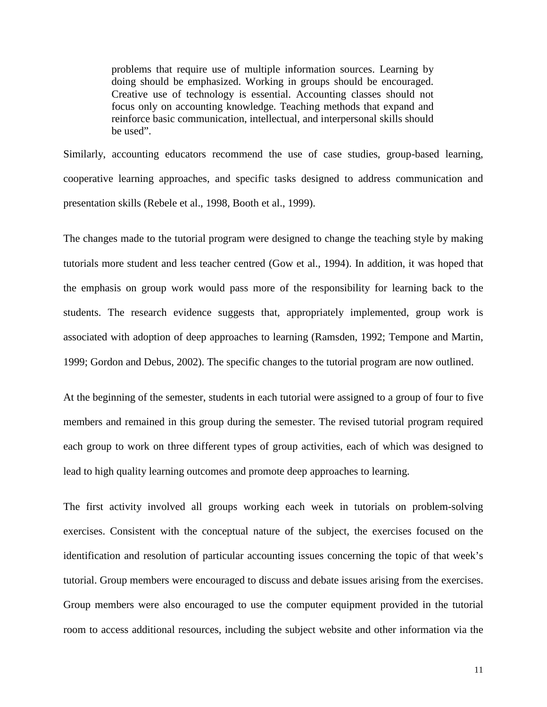problems that require use of multiple information sources. Learning by doing should be emphasized. Working in groups should be encouraged. Creative use of technology is essential. Accounting classes should not focus only on accounting knowledge. Teaching methods that expand and reinforce basic communication, intellectual, and interpersonal skills should be used".

Similarly, accounting educators recommend the use of case studies, group-based learning, cooperative learning approaches, and specific tasks designed to address communication and presentation skills (Rebele et al., 1998, Booth et al., 1999).

The changes made to the tutorial program were designed to change the teaching style by making tutorials more student and less teacher centred (Gow et al., 1994). In addition, it was hoped that the emphasis on group work would pass more of the responsibility for learning back to the students. The research evidence suggests that, appropriately implemented, group work is associated with adoption of deep approaches to learning (Ramsden, 1992; Tempone and Martin, 1999; Gordon and Debus, 2002). The specific changes to the tutorial program are now outlined.

At the beginning of the semester, students in each tutorial were assigned to a group of four to five members and remained in this group during the semester. The revised tutorial program required each group to work on three different types of group activities, each of which was designed to lead to high quality learning outcomes and promote deep approaches to learning.

The first activity involved all groups working each week in tutorials on problem-solving exercises. Consistent with the conceptual nature of the subject, the exercises focused on the identification and resolution of particular accounting issues concerning the topic of that week's tutorial. Group members were encouraged to discuss and debate issues arising from the exercises. Group members were also encouraged to use the computer equipment provided in the tutorial room to access additional resources, including the subject website and other information via the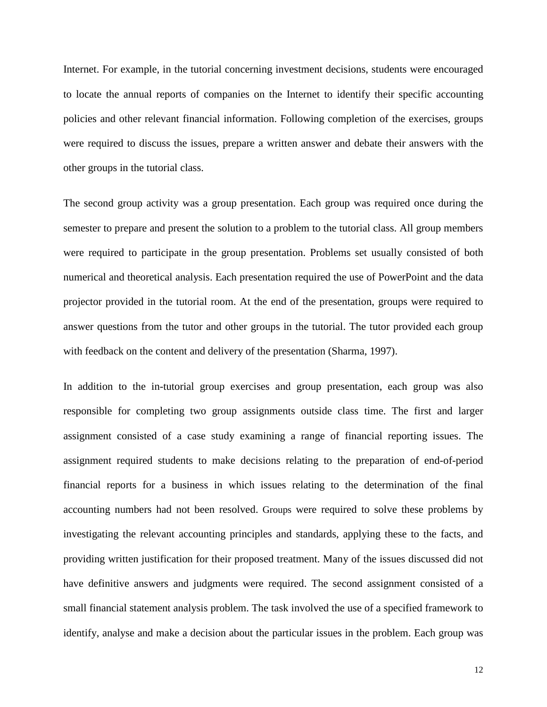Internet. For example, in the tutorial concerning investment decisions, students were encouraged to locate the annual reports of companies on the Internet to identify their specific accounting policies and other relevant financial information. Following completion of the exercises, groups were required to discuss the issues, prepare a written answer and debate their answers with the other groups in the tutorial class.

The second group activity was a group presentation. Each group was required once during the semester to prepare and present the solution to a problem to the tutorial class. All group members were required to participate in the group presentation. Problems set usually consisted of both numerical and theoretical analysis. Each presentation required the use of PowerPoint and the data projector provided in the tutorial room. At the end of the presentation, groups were required to answer questions from the tutor and other groups in the tutorial. The tutor provided each group with feedback on the content and delivery of the presentation (Sharma, 1997).

In addition to the in-tutorial group exercises and group presentation, each group was also responsible for completing two group assignments outside class time. The first and larger assignment consisted of a case study examining a range of financial reporting issues. The assignment required students to make decisions relating to the preparation of end-of-period financial reports for a business in which issues relating to the determination of the final accounting numbers had not been resolved. Groups were required to solve these problems by investigating the relevant accounting principles and standards, applying these to the facts, and providing written justification for their proposed treatment. Many of the issues discussed did not have definitive answers and judgments were required. The second assignment consisted of a small financial statement analysis problem. The task involved the use of a specified framework to identify, analyse and make a decision about the particular issues in the problem. Each group was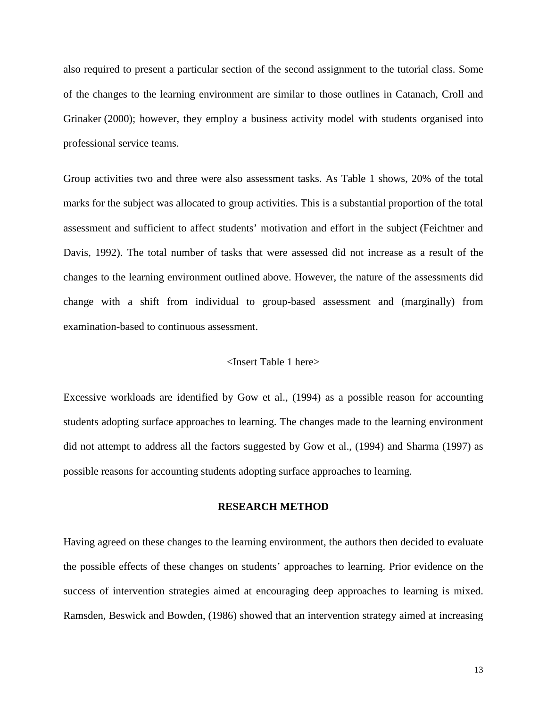also required to present a particular section of the second assignment to the tutorial class. Some of the changes to the learning environment are similar to those outlines in Catanach, Croll and Grinaker (2000); however, they employ a business activity model with students organised into professional service teams.

Group activities two and three were also assessment tasks. As Table 1 shows, 20% of the total marks for the subject was allocated to group activities. This is a substantial proportion of the total assessment and sufficient to affect students' motivation and effort in the subject (Feichtner and Davis, 1992). The total number of tasks that were assessed did not increase as a result of the changes to the learning environment outlined above. However, the nature of the assessments did change with a shift from individual to group-based assessment and (marginally) from examination-based to continuous assessment.

#### <Insert Table 1 here>

Excessive workloads are identified by Gow et al., (1994) as a possible reason for accounting students adopting surface approaches to learning. The changes made to the learning environment did not attempt to address all the factors suggested by Gow et al., (1994) and Sharma (1997) as possible reasons for accounting students adopting surface approaches to learning.

#### **RESEARCH METHOD**

Having agreed on these changes to the learning environment, the authors then decided to evaluate the possible effects of these changes on students' approaches to learning. Prior evidence on the success of intervention strategies aimed at encouraging deep approaches to learning is mixed. Ramsden, Beswick and Bowden, (1986) showed that an intervention strategy aimed at increasing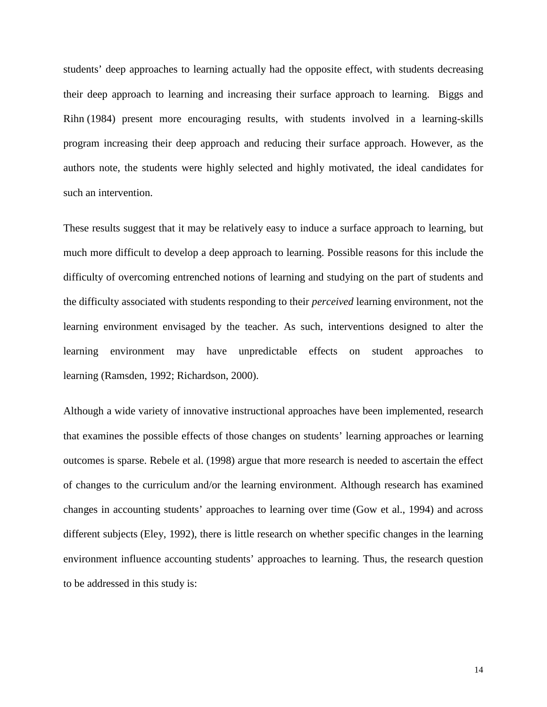students' deep approaches to learning actually had the opposite effect, with students decreasing their deep approach to learning and increasing their surface approach to learning. Biggs and Rihn (1984) present more encouraging results, with students involved in a learning-skills program increasing their deep approach and reducing their surface approach. However, as the authors note, the students were highly selected and highly motivated, the ideal candidates for such an intervention.

These results suggest that it may be relatively easy to induce a surface approach to learning, but much more difficult to develop a deep approach to learning. Possible reasons for this include the difficulty of overcoming entrenched notions of learning and studying on the part of students and the difficulty associated with students responding to their *perceived* learning environment, not the learning environment envisaged by the teacher. As such, interventions designed to alter the learning environment may have unpredictable effects on student approaches to learning (Ramsden, 1992; Richardson, 2000).

Although a wide variety of innovative instructional approaches have been implemented, research that examines the possible effects of those changes on students' learning approaches or learning outcomes is sparse. Rebele et al. (1998) argue that more research is needed to ascertain the effect of changes to the curriculum and/or the learning environment. Although research has examined changes in accounting students' approaches to learning over time (Gow et al., 1994) and across different subjects (Eley, 1992), there is little research on whether specific changes in the learning environment influence accounting students' approaches to learning. Thus, the research question to be addressed in this study is: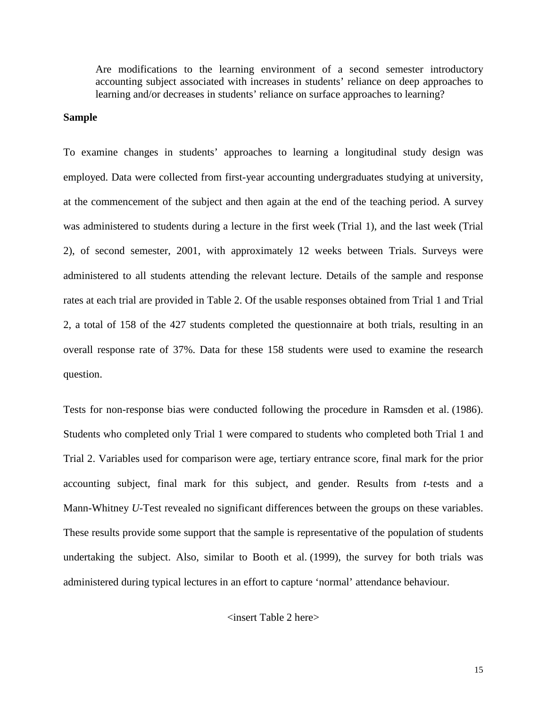Are modifications to the learning environment of a second semester introductory accounting subject associated with increases in students' reliance on deep approaches to learning and/or decreases in students' reliance on surface approaches to learning?

#### **Sample**

To examine changes in students' approaches to learning a longitudinal study design was employed. Data were collected from first-year accounting undergraduates studying at university, at the commencement of the subject and then again at the end of the teaching period. A survey was administered to students during a lecture in the first week (Trial 1), and the last week (Trial 2), of second semester, 2001, with approximately 12 weeks between Trials. Surveys were administered to all students attending the relevant lecture. Details of the sample and response rates at each trial are provided in Table 2. Of the usable responses obtained from Trial 1 and Trial 2, a total of 158 of the 427 students completed the questionnaire at both trials, resulting in an overall response rate of 37%. Data for these 158 students were used to examine the research question.

Tests for non-response bias were conducted following the procedure in Ramsden et al. (1986). Students who completed only Trial 1 were compared to students who completed both Trial 1 and Trial 2. Variables used for comparison were age, tertiary entrance score, final mark for the prior accounting subject, final mark for this subject, and gender. Results from *t-*tests and a Mann-Whitney *U*-Test revealed no significant differences between the groups on these variables. These results provide some support that the sample is representative of the population of students undertaking the subject. Also, similar to Booth et al. (1999), the survey for both trials was administered during typical lectures in an effort to capture 'normal' attendance behaviour.

<insert Table 2 here>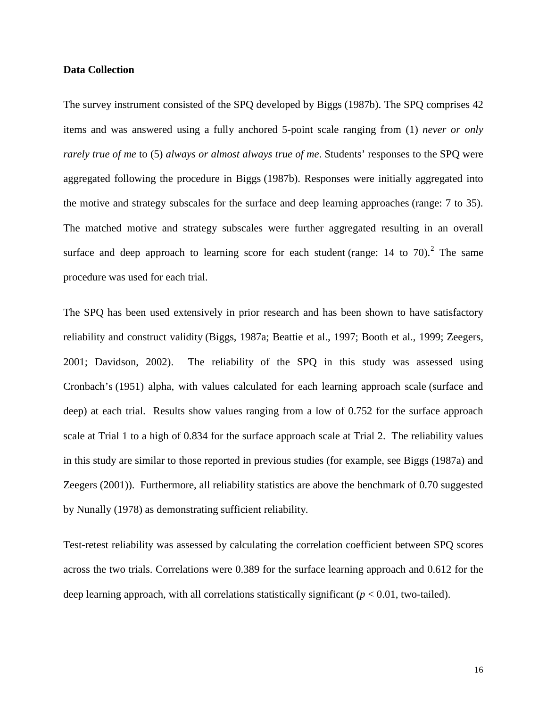#### **Data Collection**

The survey instrument consisted of the SPQ developed by Biggs (1987b). The SPQ comprises 42 items and was answered using a fully anchored 5-point scale ranging from (1) *never or only rarely true of me* to (5) *always or almost always true of me*. Students' responses to the SPQ were aggregated following the procedure in Biggs (1987b). Responses were initially aggregated into the motive and strategy subscales for the surface and deep learning approaches (range: 7 to 35). The matched motive and strategy subscales were further aggregated resulting in an overall surface and deep approach to learning score for each student (range:  $14$  to  $70$ ).<sup>[2](#page-34-1)</sup> The same procedure was used for each trial.

The SPQ has been used extensively in prior research and has been shown to have satisfactory reliability and construct validity (Biggs, 1987a; Beattie et al., 1997; Booth et al., 1999; Zeegers, 2001; Davidson, 2002). The reliability of the SPQ in this study was assessed using Cronbach's (1951) alpha, with values calculated for each learning approach scale (surface and deep) at each trial. Results show values ranging from a low of 0.752 for the surface approach scale at Trial 1 to a high of 0.834 for the surface approach scale at Trial 2. The reliability values in this study are similar to those reported in previous studies (for example, see Biggs (1987a) and Zeegers (2001)). Furthermore, all reliability statistics are above the benchmark of 0.70 suggested by Nunally (1978) as demonstrating sufficient reliability.

Test-retest reliability was assessed by calculating the correlation coefficient between SPQ scores across the two trials. Correlations were 0.389 for the surface learning approach and 0.612 for the deep learning approach, with all correlations statistically significant  $(p < 0.01$ , two-tailed).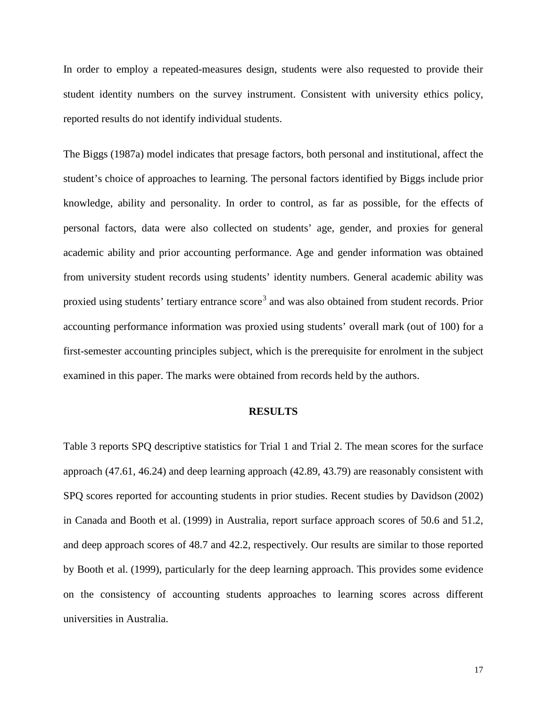In order to employ a repeated-measures design, students were also requested to provide their student identity numbers on the survey instrument. Consistent with university ethics policy, reported results do not identify individual students.

The Biggs (1987a) model indicates that presage factors, both personal and institutional, affect the student's choice of approaches to learning. The personal factors identified by Biggs include prior knowledge, ability and personality. In order to control, as far as possible, for the effects of personal factors, data were also collected on students' age, gender, and proxies for general academic ability and prior accounting performance. Age and gender information was obtained from university student records using students' identity numbers. General academic ability was proxied using students' tertiary entrance score<sup>[3](#page-34-2)</sup> and was also obtained from student records. Prior accounting performance information was proxied using students' overall mark (out of 100) for a first-semester accounting principles subject, which is the prerequisite for enrolment in the subject examined in this paper. The marks were obtained from records held by the authors.

#### **RESULTS**

Table 3 reports SPQ descriptive statistics for Trial 1 and Trial 2. The mean scores for the surface approach (47.61, 46.24) and deep learning approach (42.89, 43.79) are reasonably consistent with SPQ scores reported for accounting students in prior studies. Recent studies by Davidson (2002) in Canada and Booth et al. (1999) in Australia, report surface approach scores of 50.6 and 51.2, and deep approach scores of 48.7 and 42.2, respectively. Our results are similar to those reported by Booth et al. (1999), particularly for the deep learning approach. This provides some evidence on the consistency of accounting students approaches to learning scores across different universities in Australia.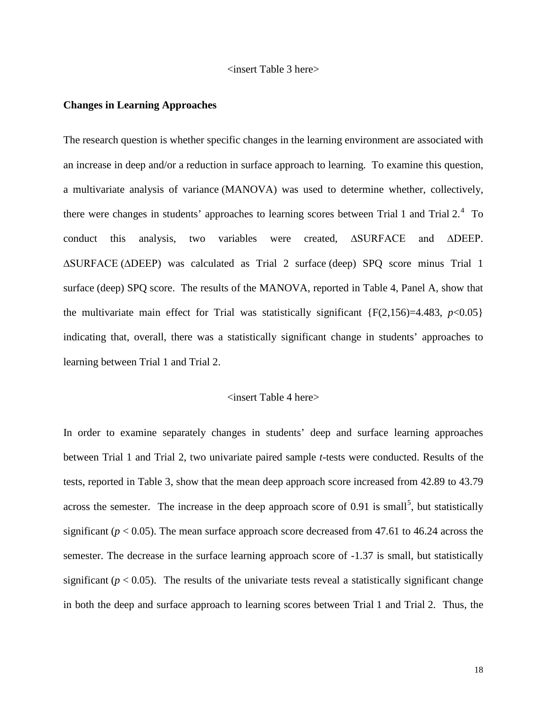#### <insert Table 3 here>

#### **Changes in Learning Approaches**

The research question is whether specific changes in the learning environment are associated with an increase in deep and/or a reduction in surface approach to learning. To examine this question, a multivariate analysis of variance (MANOVA) was used to determine whether, collectively, there were changes in students' approaches to learning scores between Trial 1 and Trial  $2.^4$  $2.^4$  To conduct this analysis, two variables were created, ∆SURFACE and ∆DEEP. ∆SURFACE (∆DEEP) was calculated as Trial 2 surface (deep) SPQ score minus Trial 1 surface (deep) SPQ score. The results of the MANOVA, reported in Table 4, Panel A, show that the multivariate main effect for Trial was statistically significant  $\{F(2,156)=4.483, p<0.05\}$ indicating that, overall, there was a statistically significant change in students' approaches to learning between Trial 1 and Trial 2.

#### <insert Table 4 here>

In order to examine separately changes in students' deep and surface learning approaches between Trial 1 and Trial 2, two univariate paired sample *t-*tests were conducted. Results of the tests, reported in Table 3, show that the mean deep approach score increased from 42.89 to 43.79 across the semester. The increase in the deep approach score of  $0.91$  is small<sup>[5](#page-34-4)</sup>, but statistically significant ( $p < 0.05$ ). The mean surface approach score decreased from 47.61 to 46.24 across the semester. The decrease in the surface learning approach score of -1.37 is small, but statistically significant ( $p < 0.05$ ). The results of the univariate tests reveal a statistically significant change in both the deep and surface approach to learning scores between Trial 1 and Trial 2. Thus, the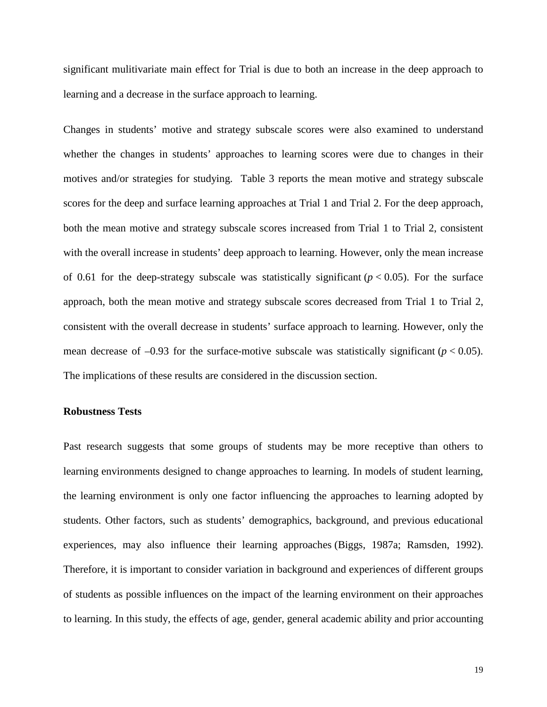significant mulitivariate main effect for Trial is due to both an increase in the deep approach to learning and a decrease in the surface approach to learning.

Changes in students' motive and strategy subscale scores were also examined to understand whether the changes in students' approaches to learning scores were due to changes in their motives and/or strategies for studying. Table 3 reports the mean motive and strategy subscale scores for the deep and surface learning approaches at Trial 1 and Trial 2. For the deep approach, both the mean motive and strategy subscale scores increased from Trial 1 to Trial 2, consistent with the overall increase in students' deep approach to learning. However, only the mean increase of 0.61 for the deep-strategy subscale was statistically significant  $(p < 0.05)$ . For the surface approach, both the mean motive and strategy subscale scores decreased from Trial 1 to Trial 2, consistent with the overall decrease in students' surface approach to learning. However, only the mean decrease of  $-0.93$  for the surface-motive subscale was statistically significant ( $p < 0.05$ ). The implications of these results are considered in the discussion section.

#### **Robustness Tests**

Past research suggests that some groups of students may be more receptive than others to learning environments designed to change approaches to learning. In models of student learning, the learning environment is only one factor influencing the approaches to learning adopted by students. Other factors, such as students' demographics, background, and previous educational experiences, may also influence their learning approaches (Biggs, 1987a; Ramsden, 1992). Therefore, it is important to consider variation in background and experiences of different groups of students as possible influences on the impact of the learning environment on their approaches to learning. In this study, the effects of age, gender, general academic ability and prior accounting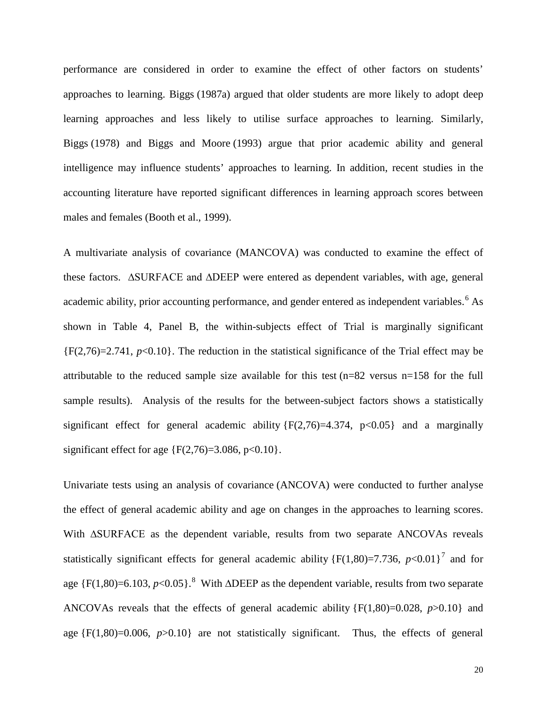performance are considered in order to examine the effect of other factors on students' approaches to learning. Biggs (1987a) argued that older students are more likely to adopt deep learning approaches and less likely to utilise surface approaches to learning. Similarly, Biggs (1978) and Biggs and Moore (1993) argue that prior academic ability and general intelligence may influence students' approaches to learning. In addition, recent studies in the accounting literature have reported significant differences in learning approach scores between males and females (Booth et al., 1999).

A multivariate analysis of covariance (MANCOVA) was conducted to examine the effect of these factors. ∆SURFACE and ∆DEEP were entered as dependent variables, with age, general academic ability, prior accounting performance, and gender entered as independent variables. [6](#page-34-5) As shown in Table 4, Panel B, the within-subjects effect of Trial is marginally significant  ${F(2,76)=2.741, p<0.10}$ . The reduction in the statistical significance of the Trial effect may be attributable to the reduced sample size available for this test (n=82 versus n=158 for the full sample results). Analysis of the results for the between-subject factors shows a statistically significant effect for general academic ability  ${F(2,76)=4.374, p<0.05}$  and a marginally significant effect for age  ${F(2,76)=3.086, p<0.10}.$ 

Univariate tests using an analysis of covariance (ANCOVA) were conducted to further analyse the effect of general academic ability and age on changes in the approaches to learning scores. With ∆SURFACE as the dependent variable, results from two separate ANCOVAs reveals statistically significant effects for general academic ability  ${F(1,80)=7.736, p<0.01}^7$  ${F(1,80)=7.736, p<0.01}^7$  ${F(1,80)=7.736, p<0.01}^7$  and for age  ${F(1,80)=6.103, p<0.05}$  ${F(1,80)=6.103, p<0.05}$  ${F(1,80)=6.103, p<0.05}$ .<sup>8</sup> With ∆DEEP as the dependent variable, results from two separate ANCOVAs reveals that the effects of general academic ability {F(1,80)=0.028, *p*>0.10} and age  ${F(1,80)=0.006, p>0.10}$  are not statistically significant. Thus, the effects of general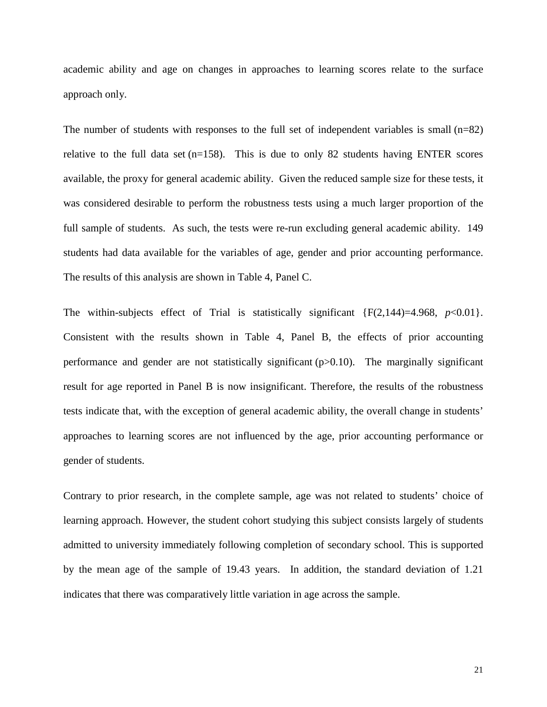academic ability and age on changes in approaches to learning scores relate to the surface approach only.

The number of students with responses to the full set of independent variables is small  $(n=82)$ relative to the full data set  $(n=158)$ . This is due to only 82 students having ENTER scores available, the proxy for general academic ability. Given the reduced sample size for these tests, it was considered desirable to perform the robustness tests using a much larger proportion of the full sample of students. As such, the tests were re-run excluding general academic ability. 149 students had data available for the variables of age, gender and prior accounting performance. The results of this analysis are shown in Table 4, Panel C.

The within-subjects effect of Trial is statistically significant  $\{F(2,144)=4.968, p<0.01\}$ . Consistent with the results shown in Table 4, Panel B, the effects of prior accounting performance and gender are not statistically significant  $(p>0.10)$ . The marginally significant result for age reported in Panel B is now insignificant. Therefore, the results of the robustness tests indicate that, with the exception of general academic ability, the overall change in students' approaches to learning scores are not influenced by the age, prior accounting performance or gender of students.

Contrary to prior research, in the complete sample, age was not related to students' choice of learning approach. However, the student cohort studying this subject consists largely of students admitted to university immediately following completion of secondary school. This is supported by the mean age of the sample of 19.43 years. In addition, the standard deviation of 1.21 indicates that there was comparatively little variation in age across the sample.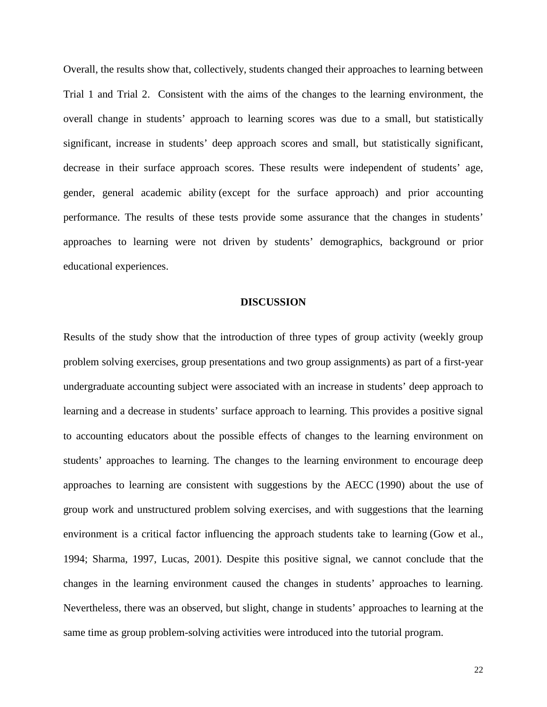Overall, the results show that, collectively, students changed their approaches to learning between Trial 1 and Trial 2. Consistent with the aims of the changes to the learning environment, the overall change in students' approach to learning scores was due to a small, but statistically significant, increase in students' deep approach scores and small, but statistically significant, decrease in their surface approach scores. These results were independent of students' age, gender, general academic ability (except for the surface approach) and prior accounting performance. The results of these tests provide some assurance that the changes in students' approaches to learning were not driven by students' demographics, background or prior educational experiences.

#### **DISCUSSION**

Results of the study show that the introduction of three types of group activity (weekly group problem solving exercises, group presentations and two group assignments) as part of a first-year undergraduate accounting subject were associated with an increase in students' deep approach to learning and a decrease in students' surface approach to learning. This provides a positive signal to accounting educators about the possible effects of changes to the learning environment on students' approaches to learning. The changes to the learning environment to encourage deep approaches to learning are consistent with suggestions by the AECC (1990) about the use of group work and unstructured problem solving exercises, and with suggestions that the learning environment is a critical factor influencing the approach students take to learning (Gow et al., 1994; Sharma, 1997, Lucas, 2001). Despite this positive signal, we cannot conclude that the changes in the learning environment caused the changes in students' approaches to learning. Nevertheless, there was an observed, but slight, change in students' approaches to learning at the same time as group problem-solving activities were introduced into the tutorial program.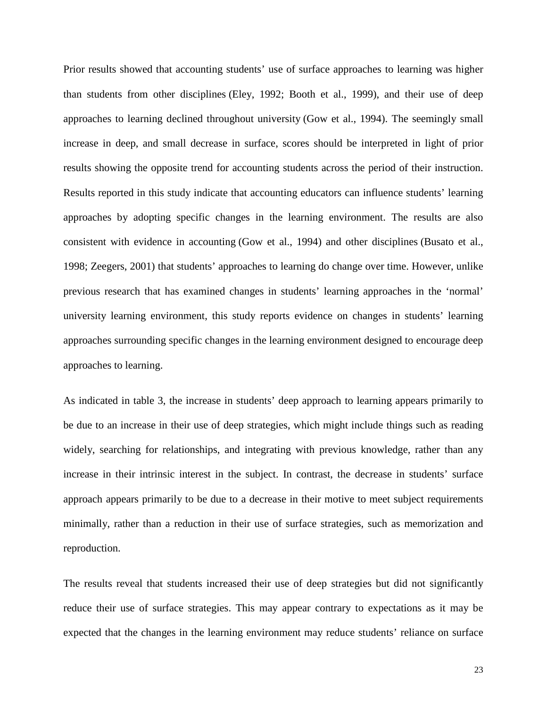Prior results showed that accounting students' use of surface approaches to learning was higher than students from other disciplines (Eley, 1992; Booth et al., 1999), and their use of deep approaches to learning declined throughout university (Gow et al., 1994). The seemingly small increase in deep, and small decrease in surface, scores should be interpreted in light of prior results showing the opposite trend for accounting students across the period of their instruction. Results reported in this study indicate that accounting educators can influence students' learning approaches by adopting specific changes in the learning environment. The results are also consistent with evidence in accounting (Gow et al., 1994) and other disciplines (Busato et al., 1998; Zeegers, 2001) that students' approaches to learning do change over time. However, unlike previous research that has examined changes in students' learning approaches in the 'normal' university learning environment, this study reports evidence on changes in students' learning approaches surrounding specific changes in the learning environment designed to encourage deep approaches to learning.

As indicated in table 3, the increase in students' deep approach to learning appears primarily to be due to an increase in their use of deep strategies, which might include things such as reading widely, searching for relationships, and integrating with previous knowledge, rather than any increase in their intrinsic interest in the subject. In contrast, the decrease in students' surface approach appears primarily to be due to a decrease in their motive to meet subject requirements minimally, rather than a reduction in their use of surface strategies, such as memorization and reproduction.

The results reveal that students increased their use of deep strategies but did not significantly reduce their use of surface strategies. This may appear contrary to expectations as it may be expected that the changes in the learning environment may reduce students' reliance on surface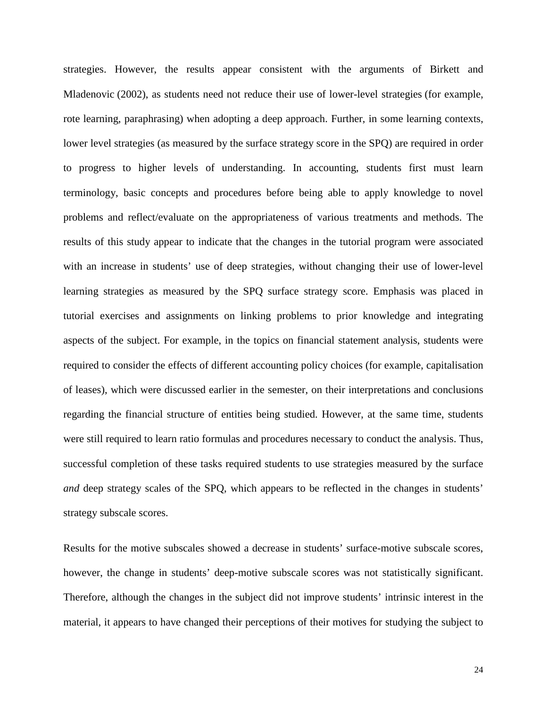strategies. However, the results appear consistent with the arguments of Birkett and Mladenovic (2002), as students need not reduce their use of lower-level strategies (for example, rote learning, paraphrasing) when adopting a deep approach. Further, in some learning contexts, lower level strategies (as measured by the surface strategy score in the SPO) are required in order to progress to higher levels of understanding. In accounting, students first must learn terminology, basic concepts and procedures before being able to apply knowledge to novel problems and reflect/evaluate on the appropriateness of various treatments and methods. The results of this study appear to indicate that the changes in the tutorial program were associated with an increase in students' use of deep strategies, without changing their use of lower-level learning strategies as measured by the SPQ surface strategy score. Emphasis was placed in tutorial exercises and assignments on linking problems to prior knowledge and integrating aspects of the subject. For example, in the topics on financial statement analysis, students were required to consider the effects of different accounting policy choices (for example, capitalisation of leases), which were discussed earlier in the semester, on their interpretations and conclusions regarding the financial structure of entities being studied. However, at the same time, students were still required to learn ratio formulas and procedures necessary to conduct the analysis. Thus, successful completion of these tasks required students to use strategies measured by the surface *and* deep strategy scales of the SPQ, which appears to be reflected in the changes in students' strategy subscale scores.

Results for the motive subscales showed a decrease in students' surface-motive subscale scores, however, the change in students' deep-motive subscale scores was not statistically significant. Therefore, although the changes in the subject did not improve students' intrinsic interest in the material, it appears to have changed their perceptions of their motives for studying the subject to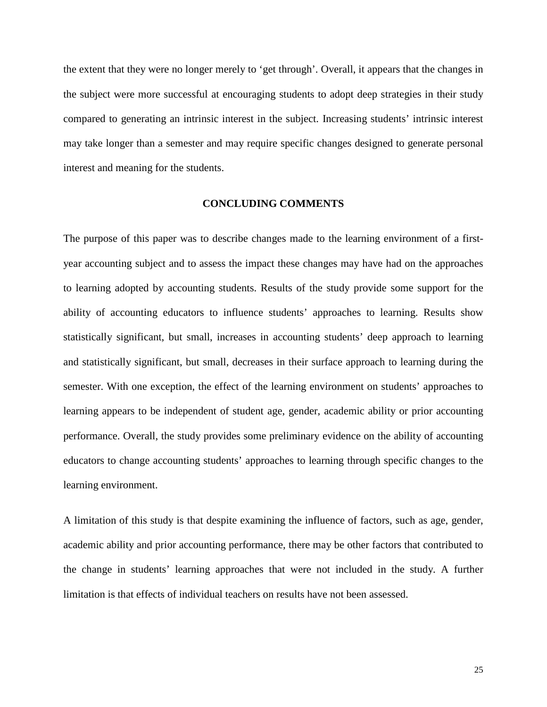the extent that they were no longer merely to 'get through'. Overall, it appears that the changes in the subject were more successful at encouraging students to adopt deep strategies in their study compared to generating an intrinsic interest in the subject. Increasing students' intrinsic interest may take longer than a semester and may require specific changes designed to generate personal interest and meaning for the students.

#### **CONCLUDING COMMENTS**

The purpose of this paper was to describe changes made to the learning environment of a firstyear accounting subject and to assess the impact these changes may have had on the approaches to learning adopted by accounting students. Results of the study provide some support for the ability of accounting educators to influence students' approaches to learning. Results show statistically significant, but small, increases in accounting students' deep approach to learning and statistically significant, but small, decreases in their surface approach to learning during the semester. With one exception, the effect of the learning environment on students' approaches to learning appears to be independent of student age, gender, academic ability or prior accounting performance. Overall, the study provides some preliminary evidence on the ability of accounting educators to change accounting students' approaches to learning through specific changes to the learning environment.

A limitation of this study is that despite examining the influence of factors, such as age, gender, academic ability and prior accounting performance, there may be other factors that contributed to the change in students' learning approaches that were not included in the study. A further limitation is that effects of individual teachers on results have not been assessed.

25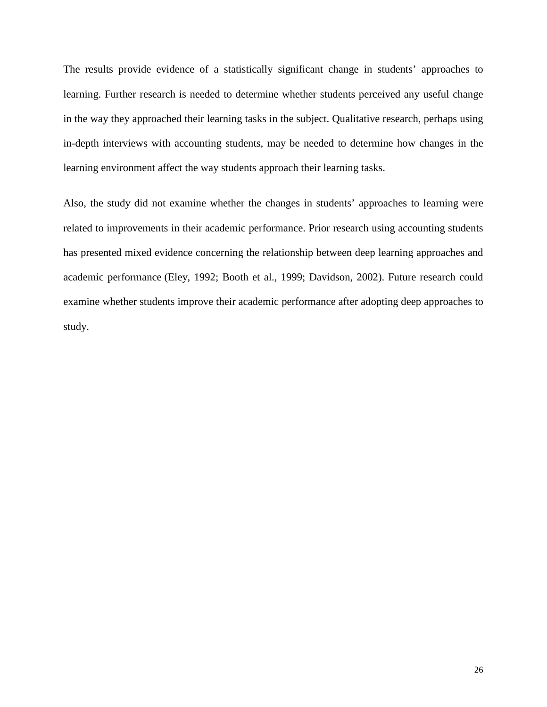The results provide evidence of a statistically significant change in students' approaches to learning. Further research is needed to determine whether students perceived any useful change in the way they approached their learning tasks in the subject. Qualitative research, perhaps using in-depth interviews with accounting students, may be needed to determine how changes in the learning environment affect the way students approach their learning tasks.

Also, the study did not examine whether the changes in students' approaches to learning were related to improvements in their academic performance. Prior research using accounting students has presented mixed evidence concerning the relationship between deep learning approaches and academic performance (Eley, 1992; Booth et al., 1999; Davidson, 2002). Future research could examine whether students improve their academic performance after adopting deep approaches to study.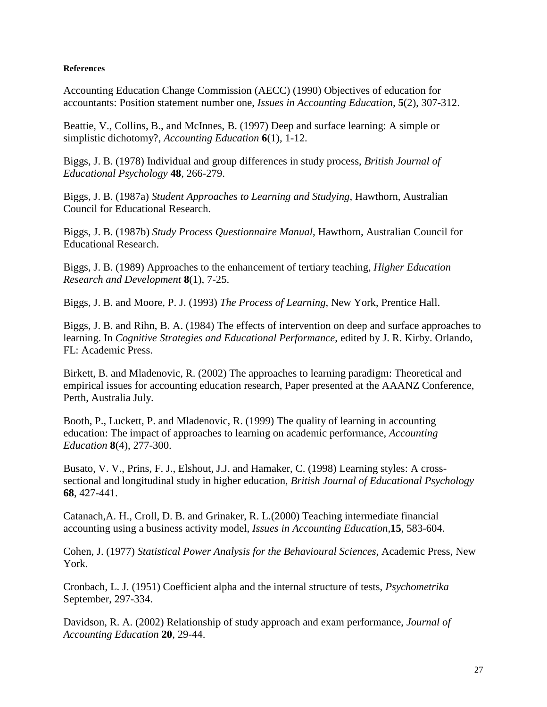#### **References**

Accounting Education Change Commission (AECC) (1990) Objectives of education for accountants: Position statement number one, *Issues in Accounting Education,* **5**(2), 307-312.

Beattie, V., Collins, B., and McInnes, B. (1997) Deep and surface learning: A simple or simplistic dichotomy?, *Accounting Education* **6**(1), 1-12.

Biggs, J. B. (1978) Individual and group differences in study process, *British Journal of Educational Psychology* **48**, 266-279.

Biggs, J. B. (1987a) *Student Approaches to Learning and Studying*, Hawthorn, Australian Council for Educational Research.

Biggs, J. B. (1987b) *Study Process Questionnaire Manual*, Hawthorn, Australian Council for Educational Research.

Biggs, J. B. (1989) Approaches to the enhancement of tertiary teaching, *Higher Education Research and Development* **8**(1), 7-25.

Biggs, J. B. and Moore, P. J. (1993) *The Process of Learning*, New York, Prentice Hall.

Biggs, J. B. and Rihn, B. A. (1984) The effects of intervention on deep and surface approaches to learning. In *Cognitive Strategies and Educational Performance*, edited by J. R. Kirby. Orlando, FL: Academic Press.

Birkett, B. and Mladenovic, R. (2002) The approaches to learning paradigm: Theoretical and empirical issues for accounting education research, Paper presented at the AAANZ Conference, Perth, Australia July.

Booth, P., Luckett, P. and Mladenovic, R. (1999) The quality of learning in accounting education: The impact of approaches to learning on academic performance, *Accounting Education* **8**(4), 277-300.

Busato, V. V., Prins, F. J., Elshout, J.J. and Hamaker, C. (1998) Learning styles: A crosssectional and longitudinal study in higher education, *British Journal of Educational Psychology* **68**, 427-441.

Catanach,A. H., Croll, D. B. and Grinaker, R. L.(2000) Teaching intermediate financial accounting using a business activity model, *Issues in Accounting Education,***15**, 583-604.

Cohen, J. (1977) *Statistical Power Analysis for the Behavioural Sciences*, Academic Press, New York.

Cronbach, L. J. (1951) Coefficient alpha and the internal structure of tests, *Psychometrika*  September, 297-334.

Davidson, R. A. (2002) Relationship of study approach and exam performance, *Journal of Accounting Education* **20**, 29-44.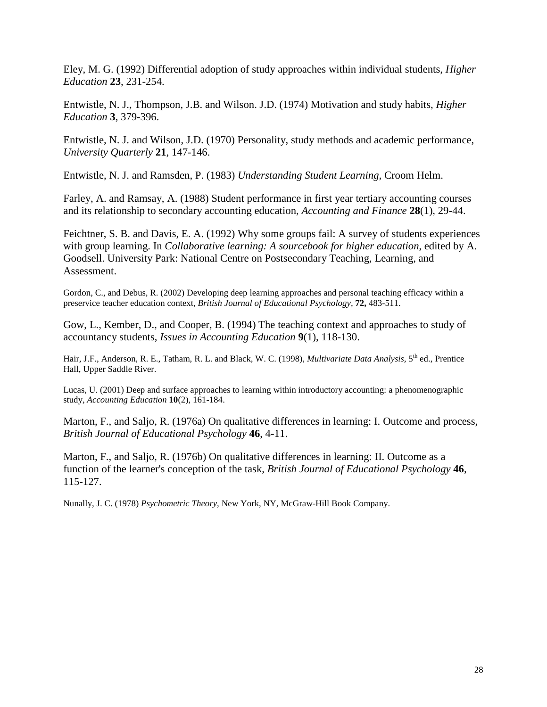Eley, M. G. (1992) Differential adoption of study approaches within individual students, *Higher Education* **23**, 231-254.

Entwistle, N. J., Thompson, J.B. and Wilson. J.D. (1974) Motivation and study habits, *Higher Education* **3**, 379-396.

Entwistle, N. J. and Wilson, J.D. (1970) Personality, study methods and academic performance, *University Quarterly* **21**, 147-146.

Entwistle, N. J. and Ramsden, P. (1983) *Understanding Student Learning,* Croom Helm.

Farley, A. and Ramsay, A. (1988) Student performance in first year tertiary accounting courses and its relationship to secondary accounting education, *Accounting and Finance* **28**(1), 29-44.

Feichtner, S. B. and Davis, E. A. (1992) Why some groups fail: A survey of students experiences with group learning. In *Collaborative learning: A sourcebook for higher education*, edited by A. Goodsell. University Park: National Centre on Postsecondary Teaching, Learning, and Assessment.

Gordon, C., and Debus, R. (2002) Developing deep learning approaches and personal teaching efficacy within a preservice teacher education context, *British Journal of Educational Psychology,* **72,** 483-511.

Gow, L., Kember, D., and Cooper, B. (1994) The teaching context and approaches to study of accountancy students, *Issues in Accounting Education* **9**(1), 118-130.

Hair, J.F., Anderson, R. E., Tatham, R. L. and Black, W. C. (1998), *Multivariate Data Analysis,* 5th ed., Prentice Hall, Upper Saddle River.

Lucas, U. (2001) Deep and surface approaches to learning within introductory accounting: a phenomenographic study, *Accounting Education* **10**(2), 161-184.

Marton, F., and Saljo, R. (1976a) On qualitative differences in learning: I. Outcome and process, *British Journal of Educational Psychology* **46**, 4-11.

Marton, F., and Saljo, R. (1976b) On qualitative differences in learning: II. Outcome as a function of the learner's conception of the task, *British Journal of Educational Psychology* **46**, 115-127.

Nunally, J. C. (1978) *Psychometric Theory,* New York, NY, McGraw-Hill Book Company.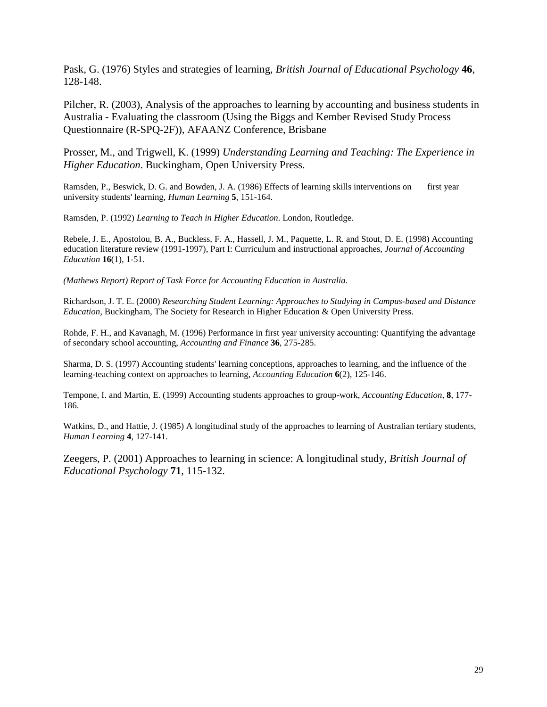Pask, G. (1976) Styles and strategies of learning, *British Journal of Educational Psychology* **46**, 128-148.

Pilcher, R. (2003), Analysis of the approaches to learning by accounting and business students in Australia - Evaluating the classroom (Using the Biggs and Kember Revised Study Process Questionnaire (R-SPQ-2F)), AFAANZ Conference, Brisbane

Prosser, M., and Trigwell, K. (1999) *Understanding Learning and Teaching: The Experience in Higher Education*. Buckingham, Open University Press.

Ramsden, P., Beswick, D. G. and Bowden, J. A. (1986) Effects of learning skills interventions on first year university students' learning, *Human Learning* **5**, 151-164.

Ramsden, P. (1992) *Learning to Teach in Higher Education*. London, Routledge.

Rebele, J. E., Apostolou, B. A., Buckless, F. A., Hassell, J. M., Paquette, L. R. and Stout, D. E. (1998) Accounting education literature review (1991-1997), Part I: Curriculum and instructional approaches, *Journal of Accounting Education* **16**(1), 1-51.

*(Mathews Report) Report of Task Force for Accounting Education in Australia.*

Richardson, J. T. E. (2000) *Researching Student Learning: Approaches to Studying in Campus-based and Distance Education*, Buckingham, The Society for Research in Higher Education & Open University Press.

Rohde, F. H., and Kavanagh, M. (1996) Performance in first year university accounting: Quantifying the advantage of secondary school accounting, *Accounting and Finance* **36**, 275-285.

Sharma, D. S. (1997) Accounting students' learning conceptions, approaches to learning, and the influence of the learning-teaching context on approaches to learning, *Accounting Education* **6**(2), 125-146.

Tempone, I. and Martin, E. (1999) Accounting students approaches to group-work, *Accounting Education,* **8**, 177- 186.

Watkins, D., and Hattie, J. (1985) A longitudinal study of the approaches to learning of Australian tertiary students, *Human Learning* **4**, 127-141.

Zeegers, P. (2001) Approaches to learning in science: A longitudinal study, *British Journal of Educational Psychology* **71**, 115-132.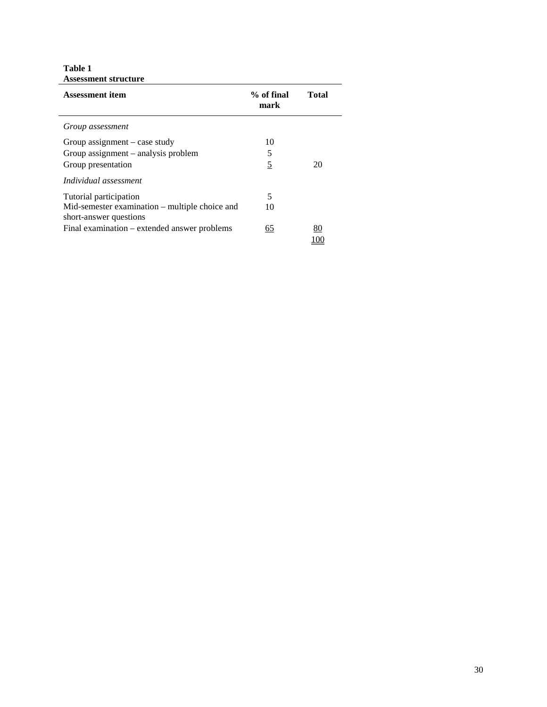**Table 1 Assessment structure**

| Assessment structure                                                     |                    |       |
|--------------------------------------------------------------------------|--------------------|-------|
| <b>Assessment item</b>                                                   | % of final<br>mark | Total |
| Group assessment                                                         |                    |       |
| Group assignment $-\cose$ study                                          | 10                 |       |
| Group assignment – analysis problem                                      | 5                  |       |
| Group presentation                                                       | 5                  | 20    |
| Individual assessment                                                    |                    |       |
| Tutorial participation                                                   | 5                  |       |
| Mid-semester examination – multiple choice and<br>short-answer questions | 10                 |       |
| Final examination – extended answer problems                             | 65                 | 80    |
|                                                                          |                    |       |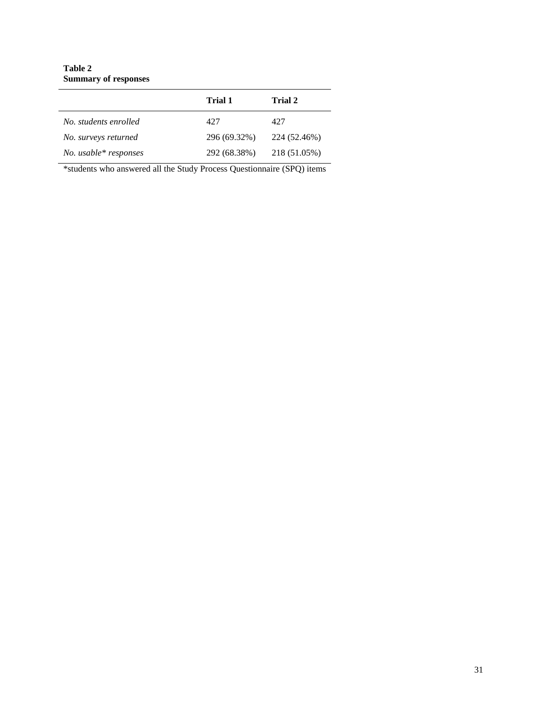#### **Table 2 Summary of responses**

|                       | Trial 1      | Trial 2      |
|-----------------------|--------------|--------------|
| No. students enrolled | 427          | 427          |
| No. surveys returned  | 296 (69.32%) | 224 (52.46%) |
| No. usable* responses | 292 (68.38%) | 218 (51.05%) |

\*students who answered all the Study Process Questionnaire (SPQ) items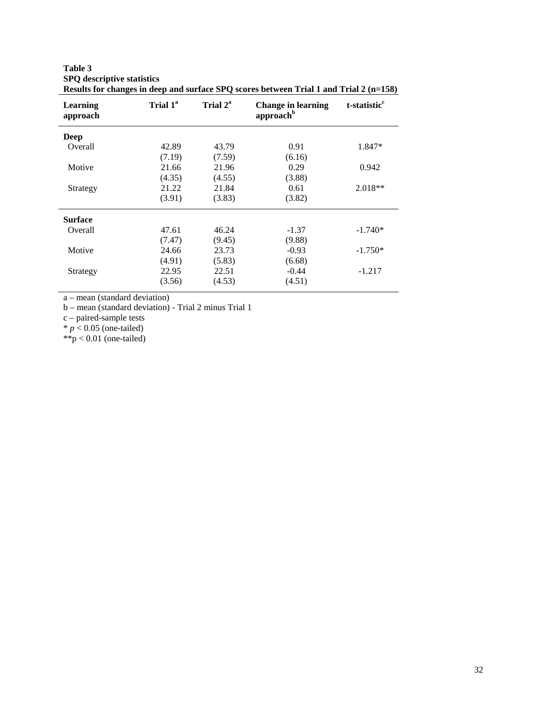| Learning<br>approach | Trial 1 <sup>a</sup> | Trial 2 <sup>a</sup> | <b>Change in learning</b><br>approachb | t-statistic <sup>c</sup> |
|----------------------|----------------------|----------------------|----------------------------------------|--------------------------|
| Deep                 |                      |                      |                                        |                          |
| Overall              | 42.89                | 43.79                | 0.91                                   | 1.847*                   |
|                      | (7.19)               | (7.59)               | (6.16)                                 |                          |
| Motive               | 21.66                | 21.96                | 0.29                                   | 0.942                    |
|                      | (4.35)               | (4.55)               | (3.88)                                 |                          |
| Strategy             | 21.22                | 21.84                | 0.61                                   | $2.018**$                |
|                      | (3.91)               | (3.83)               | (3.82)                                 |                          |
| <b>Surface</b>       |                      |                      |                                        |                          |
| Overall              | 47.61                | 46.24                | $-1.37$                                | $-1.740*$                |
|                      | (7.47)               | (9.45)               | (9.88)                                 |                          |
| Motive               | 24.66                | 23.73                | $-0.93$                                | $-1.750*$                |
|                      | (4.91)               | (5.83)               | (6.68)                                 |                          |
| Strategy             | 22.95                | 22.51                | $-0.44$                                | $-1.217$                 |
|                      | (3.56)               | (4.53)               | (4.51)                                 |                          |

**SPQ descriptive statistics Results for changes in deep and surface SPQ scores between Trial 1 and Trial 2 (n=158)**

a – mean (standard deviation) b – mean (standard deviation) - Trial 2 minus Trial 1

c – paired-sample tests

 $* p < 0.05$  (one-tailed)

**Table 3**

 $**p < 0.01$  (one-tailed)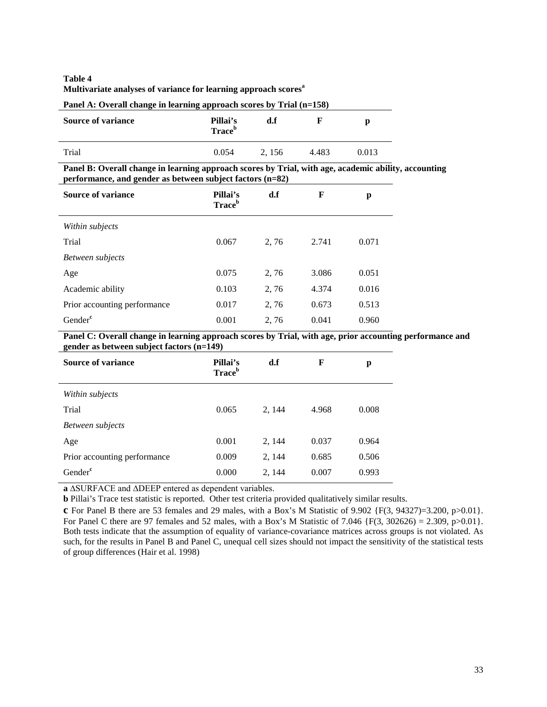#### **Table 4 Multivariate analyses of variance for learning approach scoresa**

| Panel A: Overall change in learning approach scores by Trial (n=158) |                                       |       |       |       |  |
|----------------------------------------------------------------------|---------------------------------------|-------|-------|-------|--|
| <b>Source of variance</b>                                            | Pillai's<br><b>Trace</b> <sup>b</sup> | d.f   |       |       |  |
| Trial                                                                | 0.054                                 | 2.156 | 4.483 | 0.013 |  |

**Panel B: Overall change in learning approach scores by Trial, with age, academic ability, accounting performance, and gender as between subject factors (n=82)**

| <b>Source of variance</b>    | Pillai's<br><b>Trace</b> <sup>b</sup> | d.f  | F     | p     |
|------------------------------|---------------------------------------|------|-------|-------|
| Within subjects              |                                       |      |       |       |
| Trial                        | 0.067                                 | 2,76 | 2.741 | 0.071 |
| Between subjects             |                                       |      |       |       |
| Age                          | 0.075                                 | 2,76 | 3.086 | 0.051 |
| Academic ability             | 0.103                                 | 2,76 | 4.374 | 0.016 |
| Prior accounting performance | 0.017                                 | 2,76 | 0.673 | 0.513 |
| Gender <sup>c</sup>          | 0.001                                 | 2,76 | 0.041 | 0.960 |

Panel C: Overall change in learning approach scores by Trial, with age, prior accounting performance and **gender as between subject factors (n=149)**

| -<br>$\cdot$<br><b>Source of variance</b> | Pillai's<br><b>Trace</b> <sup>b</sup> | d.f    | F     | p     |
|-------------------------------------------|---------------------------------------|--------|-------|-------|
| Within subjects                           |                                       |        |       |       |
| Trial                                     | 0.065                                 | 2, 144 | 4.968 | 0.008 |
| Between subjects                          |                                       |        |       |       |
| Age                                       | 0.001                                 | 2, 144 | 0.037 | 0.964 |
| Prior accounting performance              | 0.009                                 | 2, 144 | 0.685 | 0.506 |
| Gender <sup>c</sup>                       | 0.000                                 | 2, 144 | 0.007 | 0.993 |

**a** ∆SURFACE and ∆DEEP entered as dependent variables.

**b** Pillai's Trace test statistic is reported. Other test criteria provided qualitatively similar results.

**c** For Panel B there are 53 females and 29 males, with a Box's M Statistic of 9.902 {F(3, 94327)=3.200, p>0.01}. For Panel C there are 97 females and 52 males, with a Box's M Statistic of 7.046  $\{F(3, 302626) = 2.309, p > 0.01\}$ . Both tests indicate that the assumption of equality of variance-covariance matrices across groups is not violated. As such, for the results in Panel B and Panel C, unequal cell sizes should not impact the sensitivity of the statistical tests of group differences (Hair et al. 1998)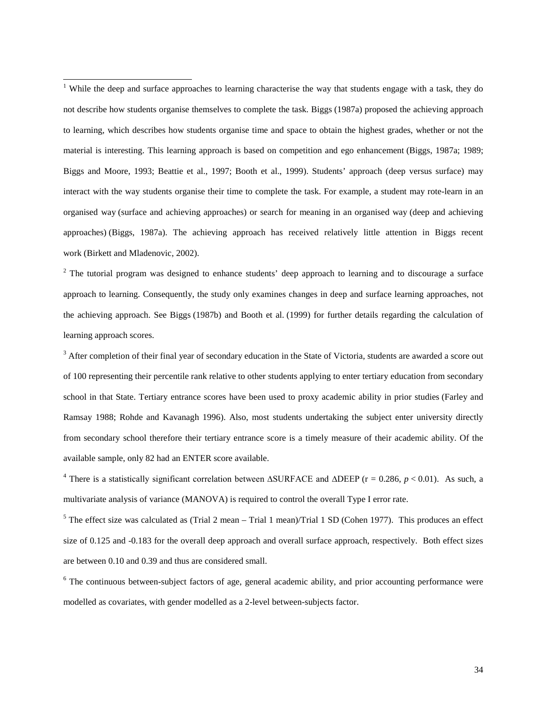<span id="page-34-0"></span><sup>1</sup> While the deep and surface approaches to learning characterise the way that students engage with a task, they do not describe how students organise themselves to complete the task. Biggs (1987a) proposed the achieving approach to learning, which describes how students organise time and space to obtain the highest grades, whether or not the material is interesting. This learning approach is based on competition and ego enhancement (Biggs, 1987a; 1989; Biggs and Moore, 1993; Beattie et al., 1997; Booth et al., 1999). Students' approach (deep versus surface) may interact with the way students organise their time to complete the task. For example, a student may rote-learn in an organised way (surface and achieving approaches) or search for meaning in an organised way (deep and achieving approaches) (Biggs, 1987a). The achieving approach has received relatively little attention in Biggs recent work (Birkett and Mladenovic, 2002).

<span id="page-34-1"></span><sup>2</sup> The tutorial program was designed to enhance students' deep approach to learning and to discourage a surface approach to learning. Consequently, the study only examines changes in deep and surface learning approaches, not the achieving approach. See Biggs (1987b) and Booth et al. (1999) for further details regarding the calculation of learning approach scores.

<span id="page-34-2"></span> $3$  After completion of their final year of secondary education in the State of Victoria, students are awarded a score out of 100 representing their percentile rank relative to other students applying to enter tertiary education from secondary school in that State. Tertiary entrance scores have been used to proxy academic ability in prior studies (Farley and Ramsay 1988; Rohde and Kavanagh 1996). Also, most students undertaking the subject enter university directly from secondary school therefore their tertiary entrance score is a timely measure of their academic ability. Of the available sample, only 82 had an ENTER score available.

<span id="page-34-3"></span><sup>4</sup> There is a statistically significant correlation between  $\triangle$ SURFACE and  $\triangle$ DEEP (r = 0.286, *p* < 0.01). As such, a multivariate analysis of variance (MANOVA) is required to control the overall Type I error rate.

<span id="page-34-4"></span> $5$  The effect size was calculated as (Trial 2 mean – Trial 1 mean)/Trial 1 SD (Cohen 1977). This produces an effect size of 0.125 and -0.183 for the overall deep approach and overall surface approach, respectively. Both effect sizes are between 0.10 and 0.39 and thus are considered small.

<span id="page-34-5"></span> $6$  The continuous between-subject factors of age, general academic ability, and prior accounting performance were modelled as covariates, with gender modelled as a 2-level between-subjects factor.